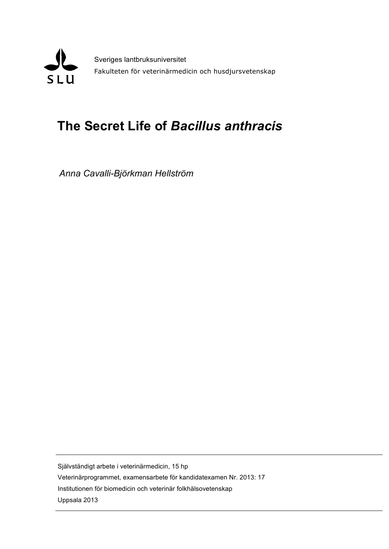

Sveriges lantbruksuniversitet Fakulteten för veterinärmedicin och husdjursvetenskap

# **The Secret Life of** *Bacillus anthracis*

*Anna Cavalli-Björkman Hellström*

Självständigt arbete i veterinärmedicin, 15 hp Veterinärprogrammet, examensarbete för kandidatexamen Nr. 2013: 17 Institutionen för biomedicin och veterinär folkhälsovetenskap Uppsala 2013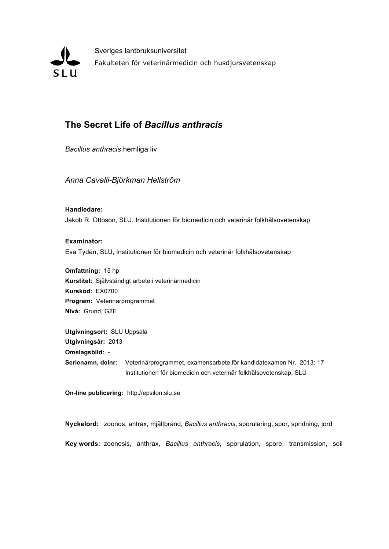

Sveriges lantbruksuniversitet Fakulteten för veterinärmedicin och husdjursvetenskap

# **The Secret Life of** *Bacillus anthracis*

*Bacillus anthracis* hemliga liv

*Anna Cavalli-Björkman Hellström*

**Handledare:**

Jakob R. Ottoson, SLU, Institutionen för biomedicin och veterinär folkhälsovetenskap

**Examinator:** Eva Tydén, SLU, Institutionen för biomedicin och veterinär folkhälsovetenskap

**Omfattning:** 15 hp **Kurstitel:** Självständigt arbete i veterinärmedicin **Kurskod:** EX0700 **Program:** Veterinärprogrammet **Nivå:** Grund, G2E

**Utgivningsort:** SLU Uppsala **Utgivningsår:** 2013 **Omslagsbild:** - **Serienamn, delnr:** Veterinärprogrammet, examensarbete för kandidatexamen Nr. 2013: 17 Institutionen för biomedicin och veterinär folkhälsovetenskap, SLU

**On-line publicering:** http://epsilon.slu.se

**Nyckelord:** zoonos, antrax, mjältbrand, *Bacillus anthracis*, sporulering, spor, spridning, jord **Key words:** zoonosis, anthrax, *Bacillus anthracis*, sporulation, spore, transmission, soil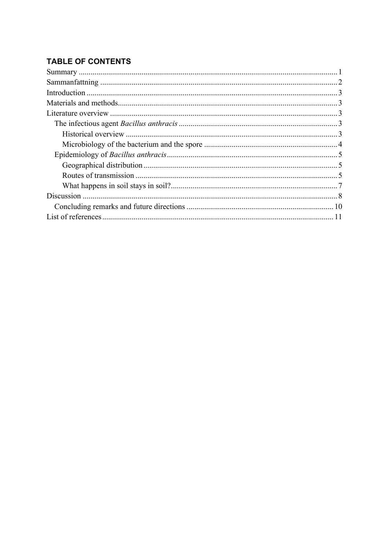# **TABLE OF CONTENTS**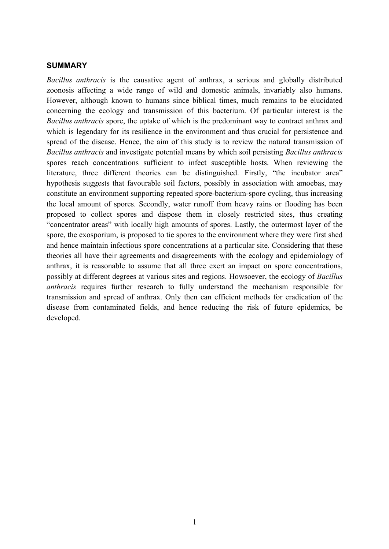#### **SUMMARY**

*Bacillus anthracis* is the causative agent of anthrax, a serious and globally distributed zoonosis affecting a wide range of wild and domestic animals, invariably also humans. However, although known to humans since biblical times, much remains to be elucidated concerning the ecology and transmission of this bacterium. Of particular interest is the *Bacillus anthracis* spore, the uptake of which is the predominant way to contract anthrax and which is legendary for its resilience in the environment and thus crucial for persistence and spread of the disease. Hence, the aim of this study is to review the natural transmission of *Bacillus anthracis* and investigate potential means by which soil persisting *Bacillus anthracis* spores reach concentrations sufficient to infect susceptible hosts. When reviewing the literature, three different theories can be distinguished. Firstly, "the incubator area" hypothesis suggests that favourable soil factors, possibly in association with amoebas, may constitute an environment supporting repeated spore-bacterium-spore cycling, thus increasing the local amount of spores. Secondly, water runoff from heavy rains or flooding has been proposed to collect spores and dispose them in closely restricted sites, thus creating "concentrator areas" with locally high amounts of spores. Lastly, the outermost layer of the spore, the exosporium, is proposed to tie spores to the environment where they were first shed and hence maintain infectious spore concentrations at a particular site. Considering that these theories all have their agreements and disagreements with the ecology and epidemiology of anthrax, it is reasonable to assume that all three exert an impact on spore concentrations, possibly at different degrees at various sites and regions. Howsoever, the ecology of *Bacillus anthracis* requires further research to fully understand the mechanism responsible for transmission and spread of anthrax. Only then can efficient methods for eradication of the disease from contaminated fields, and hence reducing the risk of future epidemics, be developed.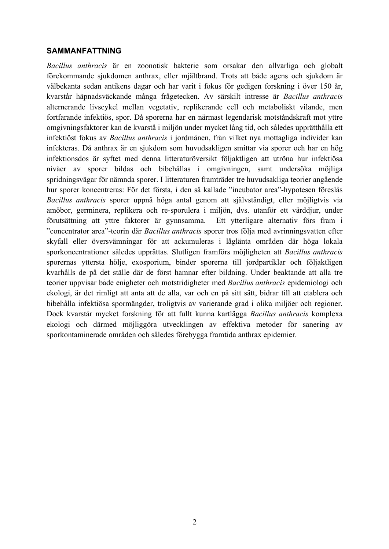#### **SAMMANFATTNING**

*Bacillus anthracis* är en zoonotisk bakterie som orsakar den allvarliga och globalt förekommande sjukdomen anthrax, eller mjältbrand. Trots att både agens och sjukdom är välbekanta sedan antikens dagar och har varit i fokus för gedigen forskning i över 150 år, kvarstår häpnadsväckande många frågetecken. Av särskilt intresse är *Bacillus anthracis* alternerande livscykel mellan vegetativ, replikerande cell och metaboliskt vilande, men fortfarande infektiös, spor. Då sporerna har en närmast legendarisk motståndskraft mot yttre omgivningsfaktorer kan de kvarstå i miljön under mycket lång tid, och således upprätthålla ett infektiöst fokus av *Bacillus anthracis* i jordmånen, från vilket nya mottagliga individer kan infekteras. Då anthrax är en sjukdom som huvudsakligen smittar via sporer och har en hög infektionsdos är syftet med denna litteraturöversikt följaktligen att utröna hur infektiösa nivåer av sporer bildas och bibehållas i omgivningen, samt undersöka möjliga spridningsvägar för nämnda sporer. I litteraturen framträder tre huvudsakliga teorier angående hur sporer koncentreras: För det första, i den så kallade "incubator area"-hypotesen föreslås *Bacillus anthracis* sporer uppnå höga antal genom att självständigt, eller möjligtvis via amöbor, germinera, replikera och re-sporulera i miljön, dvs. utanför ett värddjur, under förutsättning att yttre faktorer är gynnsamma. Ett ytterligare alternativ förs fram i "concentrator area"-teorin där *Bacillus anthracis* sporer tros följa med avrinningsvatten efter skyfall eller översvämningar för att ackumuleras i låglänta områden där höga lokala sporkoncentrationer således upprättas. Slutligen framförs möjligheten att *Bacillus anthracis* sporernas yttersta hölje, exosporium, binder sporerna till jordpartiklar och följaktligen kvarhålls de på det ställe där de först hamnar efter bildning. Under beaktande att alla tre teorier uppvisar både enigheter och motstridigheter med *Bacillus anthracis* epidemiologi och ekologi, är det rimligt att anta att de alla, var och en på sitt sätt, bidrar till att etablera och bibehålla infektiösa spormängder, troligtvis av varierande grad i olika miljöer och regioner. Dock kvarstår mycket forskning för att fullt kunna kartlägga *Bacillus anthracis* komplexa ekologi och därmed möjliggöra utvecklingen av effektiva metoder för sanering av sporkontaminerade områden och således förebygga framtida anthrax epidemier.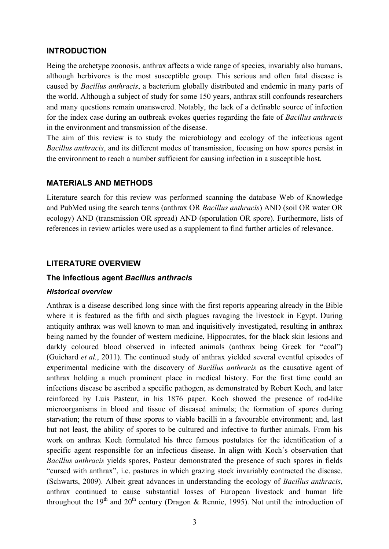#### **INTRODUCTION**

Being the archetype zoonosis, anthrax affects a wide range of species, invariably also humans, although herbivores is the most susceptible group. This serious and often fatal disease is caused by *Bacillus anthracis*, a bacterium globally distributed and endemic in many parts of the world. Although a subject of study for some 150 years, anthrax still confounds researchers and many questions remain unanswered. Notably, the lack of a definable source of infection for the index case during an outbreak evokes queries regarding the fate of *Bacillus anthracis* in the environment and transmission of the disease.

The aim of this review is to study the microbiology and ecology of the infectious agent *Bacillus anthracis*, and its different modes of transmission, focusing on how spores persist in the environment to reach a number sufficient for causing infection in a susceptible host.

#### **MATERIALS AND METHODS**

Literature search for this review was performed scanning the database Web of Knowledge and PubMed using the search terms (anthrax OR *Bacillus anthracis*) AND (soil OR water OR ecology) AND (transmission OR spread) AND (sporulation OR spore). Furthermore, lists of references in review articles were used as a supplement to find further articles of relevance.

#### **LITERATURE OVERVIEW**

#### **The infectious agent** *Bacillus anthracis*

#### *Historical overview*

Anthrax is a disease described long since with the first reports appearing already in the Bible where it is featured as the fifth and sixth plagues ravaging the livestock in Egypt. During antiquity anthrax was well known to man and inquisitively investigated, resulting in anthrax being named by the founder of western medicine, Hippocrates, for the black skin lesions and darkly coloured blood observed in infected animals (anthrax being Greek for "coal") (Guichard *et al.*, 2011). The continued study of anthrax yielded several eventful episodes of experimental medicine with the discovery of *Bacillus anthracis* as the causative agent of anthrax holding a much prominent place in medical history. For the first time could an infections disease be ascribed a specific pathogen, as demonstrated by Robert Koch, and later reinforced by Luis Pasteur, in his 1876 paper. Koch showed the presence of rod-like microorganisms in blood and tissue of diseased animals; the formation of spores during starvation; the return of these spores to viable bacilli in a favourable environment; and, last but not least, the ability of spores to be cultured and infective to further animals. From his work on anthrax Koch formulated his three famous postulates for the identification of a specific agent responsible for an infectious disease. In align with Koch´s observation that *Bacillus anthracis* yields spores, Pasteur demonstrated the presence of such spores in fields "cursed with anthrax", i.e. pastures in which grazing stock invariably contracted the disease. (Schwarts, 2009). Albeit great advances in understanding the ecology of *Bacillus anthracis*, anthrax continued to cause substantial losses of European livestock and human life throughout the 19<sup>th</sup> and 20<sup>th</sup> century (Dragon & Rennie, 1995). Not until the introduction of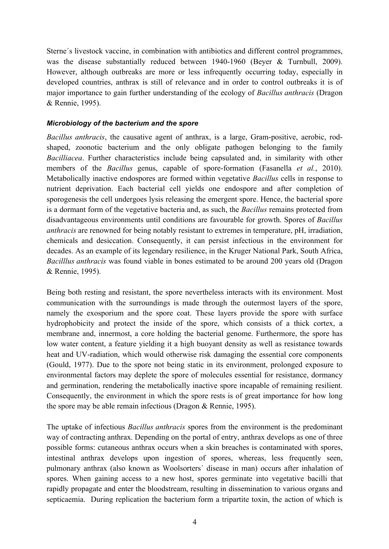Sterne´s livestock vaccine, in combination with antibiotics and different control programmes, was the disease substantially reduced between 1940-1960 (Beyer & Turnbull, 2009). However, although outbreaks are more or less infrequently occurring today, especially in developed countries, anthrax is still of relevance and in order to control outbreaks it is of major importance to gain further understanding of the ecology of *Bacillus anthracis* (Dragon & Rennie, 1995).

#### *Microbiology of the bacterium and the spore*

*Bacillus anthracis*, the causative agent of anthrax, is a large, Gram-positive, aerobic, rodshaped, zoonotic bacterium and the only obligate pathogen belonging to the family *Bacilliacea*. Further characteristics include being capsulated and, in similarity with other members of the *Bacillus* genus, capable of spore-formation (Fasanella *et al.*, 2010). Metabolically inactive endospores are formed within vegetative *Bacillus* cells in response to nutrient deprivation. Each bacterial cell yields one endospore and after completion of sporogenesis the cell undergoes lysis releasing the emergent spore. Hence, the bacterial spore is a dormant form of the vegetative bacteria and, as such, the *Bacillus* remains protected from disadvantageous environments until conditions are favourable for growth. Spores of *Bacillus anthracis* are renowned for being notably resistant to extremes in temperature, pH, irradiation, chemicals and desiccation. Consequently, it can persist infectious in the environment for decades. As an example of its legendary resilience, in the Kruger National Park, South Africa, *Bacilllus anthracis* was found viable in bones estimated to be around 200 years old (Dragon & Rennie, 1995).

Being both resting and resistant, the spore nevertheless interacts with its environment. Most communication with the surroundings is made through the outermost layers of the spore, namely the exosporium and the spore coat. These layers provide the spore with surface hydrophobicity and protect the inside of the spore, which consists of a thick cortex, a membrane and, innermost, a core holding the bacterial genome. Furthermore, the spore has low water content, a feature yielding it a high buoyant density as well as resistance towards heat and UV-radiation, which would otherwise risk damaging the essential core components (Gould, 1977). Due to the spore not being static in its environment, prolonged exposure to environmental factors may deplete the spore of molecules essential for resistance, dormancy and germination, rendering the metabolically inactive spore incapable of remaining resilient. Consequently, the environment in which the spore rests is of great importance for how long the spore may be able remain infectious (Dragon & Rennie, 1995).

The uptake of infectious *Bacillus anthracis* spores from the environment is the predominant way of contracting anthrax. Depending on the portal of entry, anthrax develops as one of three possible forms: cutaneous anthrax occurs when a skin breaches is contaminated with spores, intestinal anthrax develops upon ingestion of spores, whereas, less frequently seen, pulmonary anthrax (also known as Woolsorters´ disease in man) occurs after inhalation of spores. When gaining access to a new host, spores germinate into vegetative bacilli that rapidly propagate and enter the bloodstream, resulting in dissemination to various organs and septicaemia. During replication the bacterium form a tripartite toxin, the action of which is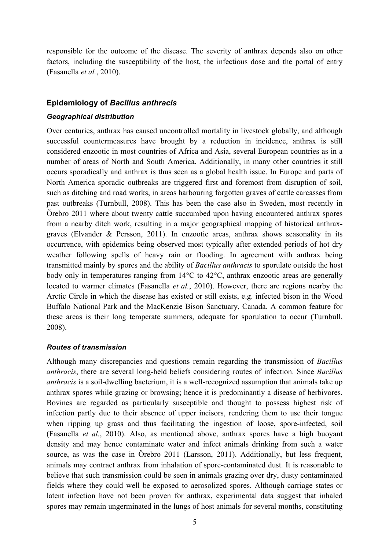responsible for the outcome of the disease. The severity of anthrax depends also on other factors, including the susceptibility of the host, the infectious dose and the portal of entry (Fasanella *et al.*, 2010).

# **Epidemiology of** *Bacillus anthracis*

### *Geographical distribution*

Over centuries, anthrax has caused uncontrolled mortality in livestock globally, and although successful countermeasures have brought by a reduction in incidence, anthrax is still considered enzootic in most countries of Africa and Asia, several European countries as in a number of areas of North and South America. Additionally, in many other countries it still occurs sporadically and anthrax is thus seen as a global health issue. In Europe and parts of North America sporadic outbreaks are triggered first and foremost from disruption of soil, such as ditching and road works, in areas harbouring forgotten graves of cattle carcasses from past outbreaks (Turnbull, 2008). This has been the case also in Sweden, most recently in Örebro 2011 where about twenty cattle succumbed upon having encountered anthrax spores from a nearby ditch work, resulting in a major geographical mapping of historical anthraxgraves (Elvander & Persson, 2011). In enzootic areas, anthrax shows seasonality in its occurrence, with epidemics being observed most typically after extended periods of hot dry weather following spells of heavy rain or flooding. In agreement with anthrax being transmitted mainly by spores and the ability of *Bacillus anthracis* to sporulate outside the host body only in temperatures ranging from 14°C to 42°C, anthrax enzootic areas are generally located to warmer climates (Fasanella *et al.*, 2010). However, there are regions nearby the Arctic Circle in which the disease has existed or still exists, e.g. infected bison in the Wood Buffalo National Park and the MacKenzie Bison Sanctuary, Canada. A common feature for these areas is their long temperate summers, adequate for sporulation to occur (Turnbull, 2008).

## *Routes of transmission*

Although many discrepancies and questions remain regarding the transmission of *Bacillus anthracis*, there are several long-held beliefs considering routes of infection. Since *Bacillus anthracis* is a soil-dwelling bacterium, it is a well-recognized assumption that animals take up anthrax spores while grazing or browsing; hence it is predominantly a disease of herbivores. Bovines are regarded as particularly susceptible and thought to possess highest risk of infection partly due to their absence of upper incisors, rendering them to use their tongue when ripping up grass and thus facilitating the ingestion of loose, spore-infected, soil (Fasanella *et al.*, 2010). Also, as mentioned above, anthrax spores have a high buoyant density and may hence contaminate water and infect animals drinking from such a water source, as was the case in Örebro 2011 (Larsson, 2011). Additionally, but less frequent, animals may contract anthrax from inhalation of spore-contaminated dust. It is reasonable to believe that such transmission could be seen in animals grazing over dry, dusty contaminated fields where they could well be exposed to aerosolized spores. Although carriage states or latent infection have not been proven for anthrax, experimental data suggest that inhaled spores may remain ungerminated in the lungs of host animals for several months, constituting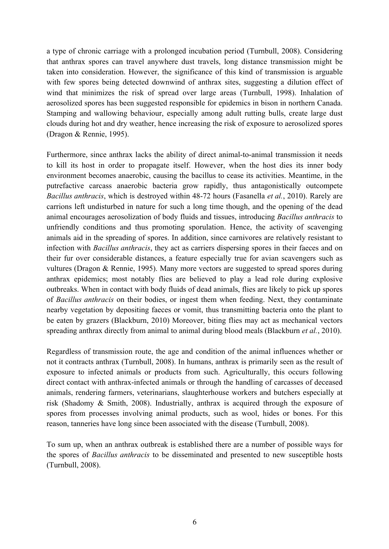a type of chronic carriage with a prolonged incubation period (Turnbull, 2008). Considering that anthrax spores can travel anywhere dust travels, long distance transmission might be taken into consideration. However, the significance of this kind of transmission is arguable with few spores being detected downwind of anthrax sites, suggesting a dilution effect of wind that minimizes the risk of spread over large areas (Turnbull, 1998). Inhalation of aerosolized spores has been suggested responsible for epidemics in bison in northern Canada. Stamping and wallowing behaviour, especially among adult rutting bulls, create large dust clouds during hot and dry weather, hence increasing the risk of exposure to aerosolized spores (Dragon & Rennie, 1995).

Furthermore, since anthrax lacks the ability of direct animal-to-animal transmission it needs to kill its host in order to propagate itself. However, when the host dies its inner body environment becomes anaerobic, causing the bacillus to cease its activities. Meantime, in the putrefactive carcass anaerobic bacteria grow rapidly, thus antagonistically outcompete *Bacillus anthracis*, which is destroyed within 48-72 hours (Fasanella *et al.*, 2010). Rarely are carrions left undisturbed in nature for such a long time though, and the opening of the dead animal encourages aerosolization of body fluids and tissues, introducing *Bacillus anthracis* to unfriendly conditions and thus promoting sporulation. Hence, the activity of scavenging animals aid in the spreading of spores. In addition, since carnivores are relatively resistant to infection with *Bacillus anthracis*, they act as carriers dispersing spores in their faeces and on their fur over considerable distances, a feature especially true for avian scavengers such as vultures (Dragon & Rennie, 1995). Many more vectors are suggested to spread spores during anthrax epidemics; most notably flies are believed to play a lead role during explosive outbreaks. When in contact with body fluids of dead animals, flies are likely to pick up spores of *Bacillus anthracis* on their bodies, or ingest them when feeding. Next, they contaminate nearby vegetation by depositing faeces or vomit, thus transmitting bacteria onto the plant to be eaten by grazers (Blackburn, 2010) Moreover, biting flies may act as mechanical vectors spreading anthrax directly from animal to animal during blood meals (Blackburn *et al.*, 2010).

Regardless of transmission route, the age and condition of the animal influences whether or not it contracts anthrax (Turnbull, 2008). In humans, anthrax is primarily seen as the result of exposure to infected animals or products from such. Agriculturally, this occurs following direct contact with anthrax-infected animals or through the handling of carcasses of deceased animals, rendering farmers, veterinarians, slaughterhouse workers and butchers especially at risk (Shadomy & Smith, 2008). Industrially, anthrax is acquired through the exposure of spores from processes involving animal products, such as wool, hides or bones. For this reason, tanneries have long since been associated with the disease (Turnbull, 2008).

To sum up, when an anthrax outbreak is established there are a number of possible ways for the spores of *Bacillus anthracis* to be disseminated and presented to new susceptible hosts (Turnbull, 2008).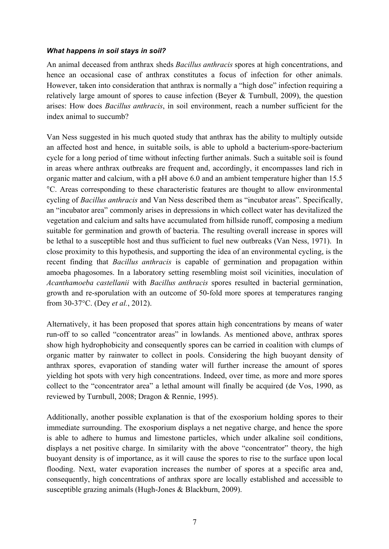#### *What happens in soil stays in soil?*

An animal deceased from anthrax sheds *Bacillus anthracis* spores at high concentrations, and hence an occasional case of anthrax constitutes a focus of infection for other animals. However, taken into consideration that anthrax is normally a "high dose" infection requiring a relatively large amount of spores to cause infection (Beyer & Turnbull, 2009), the question arises: How does *Bacillus anthracis*, in soil environment, reach a number sufficient for the index animal to succumb?

Van Ness suggested in his much quoted study that anthrax has the ability to multiply outside an affected host and hence, in suitable soils, is able to uphold a bacterium-spore-bacterium cycle for a long period of time without infecting further animals. Such a suitable soil is found in areas where anthrax outbreaks are frequent and, accordingly, it encompasses land rich in organic matter and calcium, with a pH above 6.0 and an ambient temperature higher than 15.5 °C. Areas corresponding to these characteristic features are thought to allow environmental cycling of *Bacillus anthracis* and Van Ness described them as "incubator areas". Specifically, an "incubator area" commonly arises in depressions in which collect water has devitalized the vegetation and calcium and salts have accumulated from hillside runoff, composing a medium suitable for germination and growth of bacteria. The resulting overall increase in spores will be lethal to a susceptible host and thus sufficient to fuel new outbreaks (Van Ness, 1971). In close proximity to this hypothesis, and supporting the idea of an environmental cycling, is the recent finding that *Bacillus anthracis* is capable of germination and propagation within amoeba phagosomes. In a laboratory setting resembling moist soil vicinities, inoculation of *Acanthamoeba castellanii* with *Bacillus anthracis* spores resulted in bacterial germination, growth and re-sporulation with an outcome of 50-fold more spores at temperatures ranging from 30-37°C. (Dey *et al.*, 2012).

Alternatively, it has been proposed that spores attain high concentrations by means of water run-off to so called "concentrator areas" in lowlands. As mentioned above, anthrax spores show high hydrophobicity and consequently spores can be carried in coalition with clumps of organic matter by rainwater to collect in pools. Considering the high buoyant density of anthrax spores, evaporation of standing water will further increase the amount of spores yielding hot spots with very high concentrations. Indeed, over time, as more and more spores collect to the "concentrator area" a lethal amount will finally be acquired (de Vos, 1990, as reviewed by Turnbull, 2008; Dragon & Rennie, 1995).

Additionally, another possible explanation is that of the exosporium holding spores to their immediate surrounding. The exosporium displays a net negative charge, and hence the spore is able to adhere to humus and limestone particles, which under alkaline soil conditions, displays a net positive charge. In similarity with the above "concentrator" theory, the high buoyant density is of importance, as it will cause the spores to rise to the surface upon local flooding. Next, water evaporation increases the number of spores at a specific area and, consequently, high concentrations of anthrax spore are locally established and accessible to susceptible grazing animals (Hugh-Jones & Blackburn, 2009).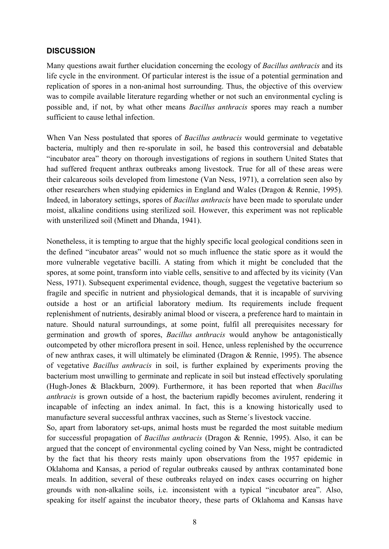## **DISCUSSION**

Many questions await further elucidation concerning the ecology of *Bacillus anthracis* and its life cycle in the environment. Of particular interest is the issue of a potential germination and replication of spores in a non-animal host surrounding. Thus, the objective of this overview was to compile available literature regarding whether or not such an environmental cycling is possible and, if not, by what other means *Bacillus anthracis* spores may reach a number sufficient to cause lethal infection.

When Van Ness postulated that spores of *Bacillus anthracis* would germinate to vegetative bacteria, multiply and then re-sporulate in soil, he based this controversial and debatable "incubator area" theory on thorough investigations of regions in southern United States that had suffered frequent anthrax outbreaks among livestock. True for all of these areas were their calcareous soils developed from limestone (Van Ness, 1971), a correlation seen also by other researchers when studying epidemics in England and Wales (Dragon & Rennie, 1995). Indeed, in laboratory settings, spores of *Bacillus anthracis* have been made to sporulate under moist, alkaline conditions using sterilized soil. However, this experiment was not replicable with unsterilized soil (Minett and Dhanda, 1941).

Nonetheless, it is tempting to argue that the highly specific local geological conditions seen in the defined "incubator areas" would not so much influence the static spore as it would the more vulnerable vegetative bacilli. A stating from which it might be concluded that the spores, at some point, transform into viable cells, sensitive to and affected by its vicinity (Van Ness, 1971). Subsequent experimental evidence, though, suggest the vegetative bacterium so fragile and specific in nutrient and physiological demands, that it is incapable of surviving outside a host or an artificial laboratory medium. Its requirements include frequent replenishment of nutrients, desirably animal blood or viscera, a preference hard to maintain in nature. Should natural surroundings, at some point, fulfil all prerequisites necessary for germination and growth of spores, *Bacillus anthracis* would anyhow be antagonistically outcompeted by other microflora present in soil. Hence, unless replenished by the occurrence of new anthrax cases, it will ultimately be eliminated (Dragon & Rennie, 1995). The absence of vegetative *Bacillus anthracis* in soil, is further explained by experiments proving the bacterium most unwilling to germinate and replicate in soil but instead effectively sporulating (Hugh-Jones & Blackburn, 2009). Furthermore, it has been reported that when *Bacillus anthracis* is grown outside of a host, the bacterium rapidly becomes avirulent, rendering it incapable of infecting an index animal. In fact, this is a knowing historically used to manufacture several successful anthrax vaccines, such as Sterne´s livestock vaccine.

So, apart from laboratory set-ups, animal hosts must be regarded the most suitable medium for successful propagation of *Bacillus anthracis* (Dragon & Rennie, 1995). Also, it can be argued that the concept of environmental cycling coined by Van Ness, might be contradicted by the fact that his theory rests mainly upon observations from the 1957 epidemic in Oklahoma and Kansas, a period of regular outbreaks caused by anthrax contaminated bone meals. In addition, several of these outbreaks relayed on index cases occurring on higher grounds with non-alkaline soils, i.e. inconsistent with a typical "incubator area". Also, speaking for itself against the incubator theory, these parts of Oklahoma and Kansas have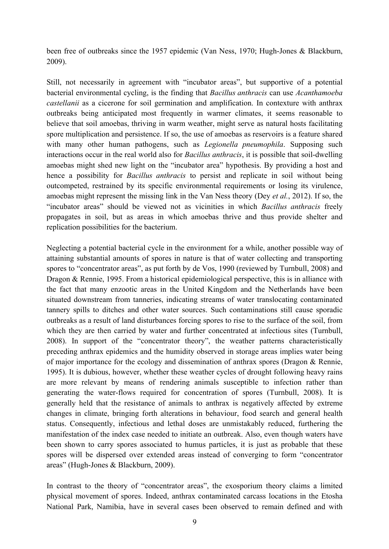been free of outbreaks since the 1957 epidemic (Van Ness, 1970; Hugh-Jones & Blackburn, 2009).

Still, not necessarily in agreement with "incubator areas", but supportive of a potential bacterial environmental cycling, is the finding that *Bacillus anthracis* can use *Acanthamoeba castellanii* as a cicerone for soil germination and amplification. In contexture with anthrax outbreaks being anticipated most frequently in warmer climates, it seems reasonable to believe that soil amoebas, thriving in warm weather, might serve as natural hosts facilitating spore multiplication and persistence. If so, the use of amoebas as reservoirs is a feature shared with many other human pathogens, such as *Legionella pneumophila*. Supposing such interactions occur in the real world also for *Bacillus anthracis*, it is possible that soil-dwelling amoebas might shed new light on the "incubator area" hypothesis. By providing a host and hence a possibility for *Bacillus anthracis* to persist and replicate in soil without being outcompeted, restrained by its specific environmental requirements or losing its virulence, amoebas might represent the missing link in the Van Ness theory (Dey *et al.*, 2012). If so, the "incubator areas" should be viewed not as vicinities in which *Bacillus anthracis* freely propagates in soil, but as areas in which amoebas thrive and thus provide shelter and replication possibilities for the bacterium.

Neglecting a potential bacterial cycle in the environment for a while, another possible way of attaining substantial amounts of spores in nature is that of water collecting and transporting spores to "concentrator areas", as put forth by de Vos, 1990 (reviewed by Turnbull, 2008) and Dragon & Rennie, 1995. From a historical epidemiological perspective, this is in alliance with the fact that many enzootic areas in the United Kingdom and the Netherlands have been situated downstream from tanneries, indicating streams of water translocating contaminated tannery spills to ditches and other water sources. Such contaminations still cause sporadic outbreaks as a result of land disturbances forcing spores to rise to the surface of the soil, from which they are then carried by water and further concentrated at infectious sites (Turnbull, 2008). In support of the "concentrator theory", the weather patterns characteristically preceding anthrax epidemics and the humidity observed in storage areas implies water being of major importance for the ecology and dissemination of anthrax spores (Dragon & Rennie, 1995). It is dubious, however, whether these weather cycles of drought following heavy rains are more relevant by means of rendering animals susceptible to infection rather than generating the water-flows required for concentration of spores (Turnbull, 2008). It is generally held that the resistance of animals to anthrax is negatively affected by extreme changes in climate, bringing forth alterations in behaviour, food search and general health status. Consequently, infectious and lethal doses are unmistakably reduced, furthering the manifestation of the index case needed to initiate an outbreak. Also, even though waters have been shown to carry spores associated to humus particles, it is just as probable that these spores will be dispersed over extended areas instead of converging to form "concentrator areas" (Hugh-Jones & Blackburn, 2009).

In contrast to the theory of "concentrator areas", the exosporium theory claims a limited physical movement of spores. Indeed, anthrax contaminated carcass locations in the Etosha National Park, Namibia, have in several cases been observed to remain defined and with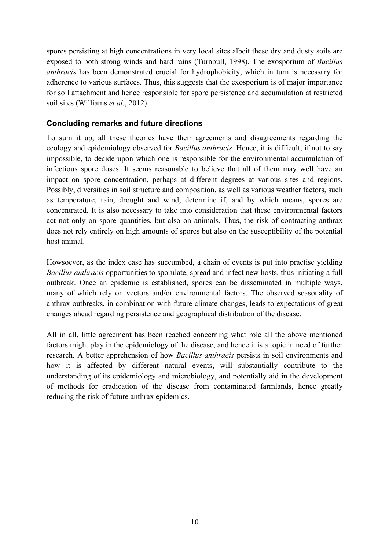spores persisting at high concentrations in very local sites albeit these dry and dusty soils are exposed to both strong winds and hard rains (Turnbull, 1998). The exosporium of *Bacillus anthracis* has been demonstrated crucial for hydrophobicity, which in turn is necessary for adherence to various surfaces. Thus, this suggests that the exosporium is of major importance for soil attachment and hence responsible for spore persistence and accumulation at restricted soil sites (Williams *et al.*, 2012).

# **Concluding remarks and future directions**

To sum it up, all these theories have their agreements and disagreements regarding the ecology and epidemiology observed for *Bacillus anthracis*. Hence, it is difficult, if not to say impossible, to decide upon which one is responsible for the environmental accumulation of infectious spore doses. It seems reasonable to believe that all of them may well have an impact on spore concentration, perhaps at different degrees at various sites and regions. Possibly, diversities in soil structure and composition, as well as various weather factors, such as temperature, rain, drought and wind, determine if, and by which means, spores are concentrated. It is also necessary to take into consideration that these environmental factors act not only on spore quantities, but also on animals. Thus, the risk of contracting anthrax does not rely entirely on high amounts of spores but also on the susceptibility of the potential host animal.

Howsoever, as the index case has succumbed, a chain of events is put into practise yielding *Bacillus anthracis* opportunities to sporulate, spread and infect new hosts, thus initiating a full outbreak. Once an epidemic is established, spores can be disseminated in multiple ways, many of which rely on vectors and/or environmental factors. The observed seasonality of anthrax outbreaks, in combination with future climate changes, leads to expectations of great changes ahead regarding persistence and geographical distribution of the disease.

All in all, little agreement has been reached concerning what role all the above mentioned factors might play in the epidemiology of the disease, and hence it is a topic in need of further research. A better apprehension of how *Bacillus anthracis* persists in soil environments and how it is affected by different natural events, will substantially contribute to the understanding of its epidemiology and microbiology, and potentially aid in the development of methods for eradication of the disease from contaminated farmlands, hence greatly reducing the risk of future anthrax epidemics.